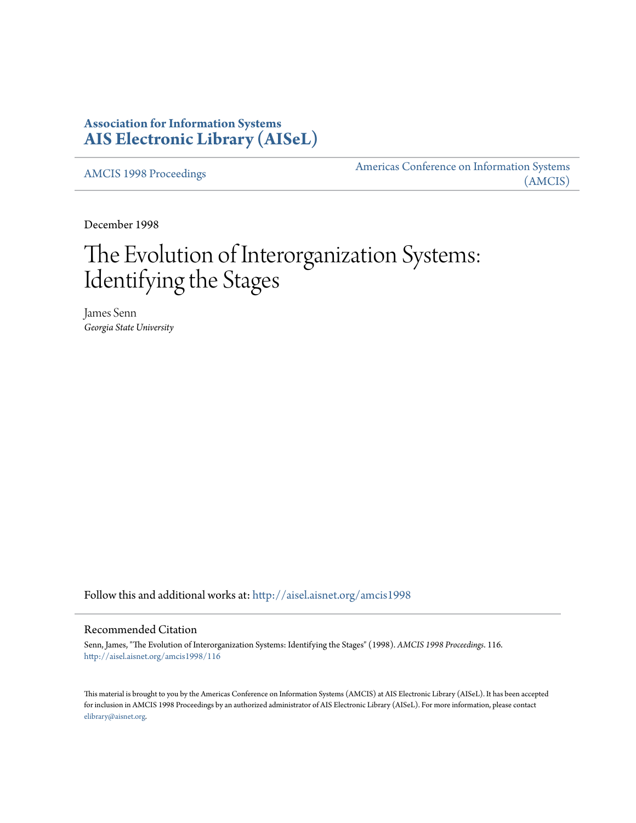# **Association for Information Systems [AIS Electronic Library \(AISeL\)](http://aisel.aisnet.org?utm_source=aisel.aisnet.org%2Famcis1998%2F116&utm_medium=PDF&utm_campaign=PDFCoverPages)**

[AMCIS 1998 Proceedings](http://aisel.aisnet.org/amcis1998?utm_source=aisel.aisnet.org%2Famcis1998%2F116&utm_medium=PDF&utm_campaign=PDFCoverPages)

[Americas Conference on Information Systems](http://aisel.aisnet.org/amcis?utm_source=aisel.aisnet.org%2Famcis1998%2F116&utm_medium=PDF&utm_campaign=PDFCoverPages) [\(AMCIS\)](http://aisel.aisnet.org/amcis?utm_source=aisel.aisnet.org%2Famcis1998%2F116&utm_medium=PDF&utm_campaign=PDFCoverPages)

December 1998

# The Evolution of Interorganization Systems: Identifying the Stages

James Senn *Georgia State University*

Follow this and additional works at: [http://aisel.aisnet.org/amcis1998](http://aisel.aisnet.org/amcis1998?utm_source=aisel.aisnet.org%2Famcis1998%2F116&utm_medium=PDF&utm_campaign=PDFCoverPages)

## Recommended Citation

Senn, James, "The Evolution of Interorganization Systems: Identifying the Stages" (1998). *AMCIS 1998 Proceedings*. 116. [http://aisel.aisnet.org/amcis1998/116](http://aisel.aisnet.org/amcis1998/116?utm_source=aisel.aisnet.org%2Famcis1998%2F116&utm_medium=PDF&utm_campaign=PDFCoverPages)

This material is brought to you by the Americas Conference on Information Systems (AMCIS) at AIS Electronic Library (AISeL). It has been accepted for inclusion in AMCIS 1998 Proceedings by an authorized administrator of AIS Electronic Library (AISeL). For more information, please contact [elibrary@aisnet.org.](mailto:elibrary@aisnet.org%3E)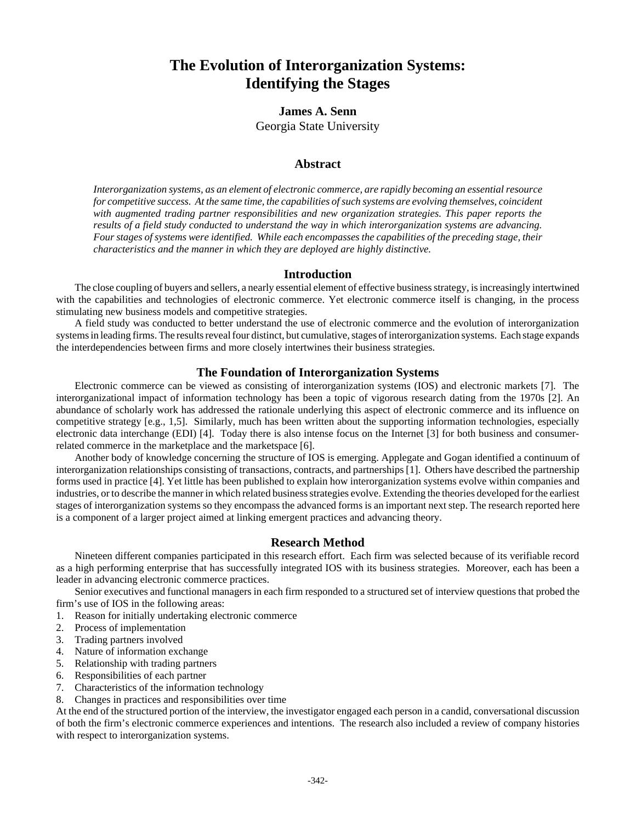# **The Evolution of Interorganization Systems: Identifying the Stages**

# **James A. Senn** Georgia State University

# **Abstract**

*Interorganization systems, as an element of electronic commerce, are rapidly becoming an essential resource for competitive success. At the same time, the capabilities of such systems are evolving themselves, coincident with augmented trading partner responsibilities and new organization strategies. This paper reports the results of a field study conducted to understand the way in which interorganization systems are advancing. Four stages of systems were identified. While each encompasses the capabilities of the preceding stage, their characteristics and the manner in which they are deployed are highly distinctive.*

# **Introduction**

The close coupling of buyers and sellers, a nearly essential element of effective business strategy, is increasingly intertwined with the capabilities and technologies of electronic commerce. Yet electronic commerce itself is changing, in the process stimulating new business models and competitive strategies.

A field study was conducted to better understand the use of electronic commerce and the evolution of interorganization systems in leading firms. The results reveal four distinct, but cumulative, stages of interorganization systems. Each stage expands the interdependencies between firms and more closely intertwines their business strategies.

# **The Foundation of Interorganization Systems**

Electronic commerce can be viewed as consisting of interorganization systems (IOS) and electronic markets [7]. The interorganizational impact of information technology has been a topic of vigorous research dating from the 1970s [2]. An abundance of scholarly work has addressed the rationale underlying this aspect of electronic commerce and its influence on competitive strategy [e.g., 1,5]. Similarly, much has been written about the supporting information technologies, especially electronic data interchange (EDI) [4]. Today there is also intense focus on the Internet [3] for both business and consumerrelated commerce in the marketplace and the marketspace [6].

Another body of knowledge concerning the structure of IOS is emerging. Applegate and Gogan identified a continuum of interorganization relationships consisting of transactions, contracts, and partnerships [1]. Others have described the partnership forms used in practice [4]. Yet little has been published to explain how interorganization systems evolve within companies and industries, or to describe the manner in which related business strategies evolve. Extending the theories developed for the earliest stages of interorganization systems so they encompass the advanced forms is an important next step. The research reported here is a component of a larger project aimed at linking emergent practices and advancing theory.

# **Research Method**

Nineteen different companies participated in this research effort. Each firm was selected because of its verifiable record as a high performing enterprise that has successfully integrated IOS with its business strategies. Moreover, each has been a leader in advancing electronic commerce practices.

Senior executives and functional managers in each firm responded to a structured set of interview questions that probed the firm's use of IOS in the following areas:

- 1. Reason for initially undertaking electronic commerce
- 2. Process of implementation
- 3. Trading partners involved
- 4. Nature of information exchange
- 5. Relationship with trading partners
- 6. Responsibilities of each partner
- 7. Characteristics of the information technology
- 8. Changes in practices and responsibilities over time

At the end of the structured portion of the interview, the investigator engaged each person in a candid, conversational discussion of both the firm's electronic commerce experiences and intentions. The research also included a review of company histories with respect to interorganization systems.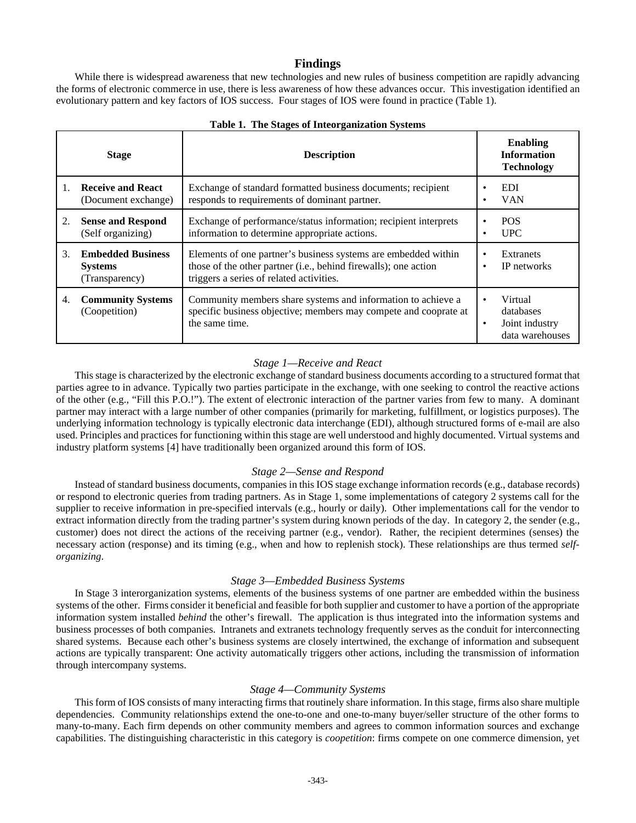#### **Findings**

While there is widespread awareness that new technologies and new rules of business competition are rapidly advancing the forms of electronic commerce in use, there is less awareness of how these advances occur. This investigation identified an evolutionary pattern and key factors of IOS success. Four stages of IOS were found in practice (Table 1).

|    | <b>Stage</b>                                                 | <b>Description</b>                                                                                                                                                            |           | <b>Enabling</b><br><b>Information</b><br><b>Technology</b> |
|----|--------------------------------------------------------------|-------------------------------------------------------------------------------------------------------------------------------------------------------------------------------|-----------|------------------------------------------------------------|
|    | <b>Receive and React</b><br>(Document exchange)              | Exchange of standard formatted business documents; recipient<br>responds to requirements of dominant partner.                                                                 | ٠         | EDI.<br><b>VAN</b>                                         |
| 2. | <b>Sense and Respond</b><br>(Self organizing)                | Exchange of performance/status information; recipient interprets<br>information to determine appropriate actions.                                                             | ٠         | <b>POS</b><br><b>UPC</b>                                   |
| 3. | <b>Embedded Business</b><br><b>Systems</b><br>(Transparency) | Elements of one partner's business systems are embedded within<br>those of the other partner (i.e., behind firewalls); one action<br>triggers a series of related activities. | ٠<br>٠    | Extranets<br>IP networks                                   |
| 4. | <b>Community Systems</b><br>(Coopetition)                    | Community members share systems and information to achieve a<br>specific business objective; members may compete and cooprate at<br>the same time.                            | $\bullet$ | Virtual<br>databases<br>Joint industry<br>data warehouses  |

#### **Table 1. The Stages of Inteorganization Systems**

# *Stage 1—Receive and React*

This stage is characterized by the electronic exchange of standard business documents according to a structured format that parties agree to in advance. Typically two parties participate in the exchange, with one seeking to control the reactive actions of the other (e.g., "Fill this P.O.!"). The extent of electronic interaction of the partner varies from few to many. A dominant partner may interact with a large number of other companies (primarily for marketing, fulfillment, or logistics purposes). The underlying information technology is typically electronic data interchange (EDI), although structured forms of e-mail are also used. Principles and practices for functioning within this stage are well understood and highly documented. Virtual systems and industry platform systems [4] have traditionally been organized around this form of IOS.

#### *Stage 2—Sense and Respond*

Instead of standard business documents, companies in this IOS stage exchange information records (e.g., database records) or respond to electronic queries from trading partners. As in Stage 1, some implementations of category 2 systems call for the supplier to receive information in pre-specified intervals (e.g., hourly or daily). Other implementations call for the vendor to extract information directly from the trading partner's system during known periods of the day. In category 2, the sender (e.g., customer) does not direct the actions of the receiving partner (e.g., vendor). Rather, the recipient determines (senses) the necessary action (response) and its timing (e.g., when and how to replenish stock). These relationships are thus termed *selforganizing*.

#### *Stage 3—Embedded Business Systems*

In Stage 3 interorganization systems, elements of the business systems of one partner are embedded within the business systems of the other. Firms consider it beneficial and feasible for both supplier and customer to have a portion of the appropriate information system installed *behind* the other's firewall. The application is thus integrated into the information systems and business processes of both companies. Intranets and extranets technology frequently serves as the conduit for interconnecting shared systems. Because each other's business systems are closely intertwined, the exchange of information and subsequent actions are typically transparent: One activity automatically triggers other actions, including the transmission of information through intercompany systems.

#### *Stage 4—Community Systems*

This form of IOS consists of many interacting firms that routinely share information. In this stage, firms also share multiple dependencies. Community relationships extend the one-to-one and one-to-many buyer/seller structure of the other forms to many-to-many. Each firm depends on other community members and agrees to common information sources and exchange capabilities. The distinguishing characteristic in this category is *coopetition*: firms compete on one commerce dimension, yet